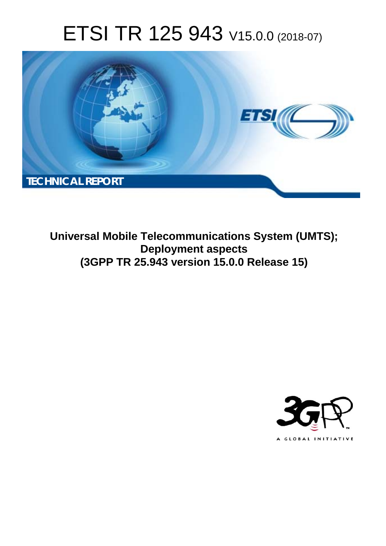# ETSI TR 125 943 V15.0.0 (2018-07)



**Universal Mobile Telecommunications System (UMTS); Deployment aspects (3GPP TR 25.943 version 15.0.0 Release 15)** 

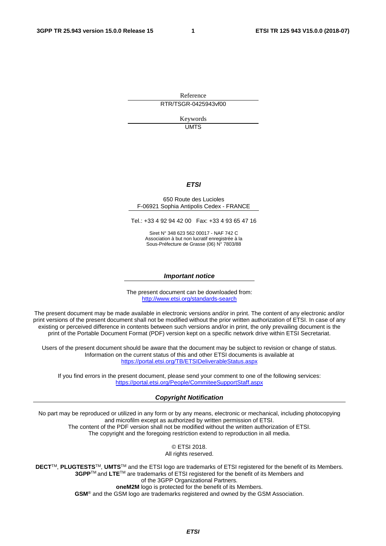Reference RTR/TSGR-0425943vf00

> Keywords UMTS

#### *ETSI*

#### 650 Route des Lucioles F-06921 Sophia Antipolis Cedex - FRANCE

Tel.: +33 4 92 94 42 00 Fax: +33 4 93 65 47 16

Siret N° 348 623 562 00017 - NAF 742 C Association à but non lucratif enregistrée à la Sous-Préfecture de Grasse (06) N° 7803/88

#### *Important notice*

The present document can be downloaded from: <http://www.etsi.org/standards-search>

The present document may be made available in electronic versions and/or in print. The content of any electronic and/or print versions of the present document shall not be modified without the prior written authorization of ETSI. In case of any existing or perceived difference in contents between such versions and/or in print, the only prevailing document is the print of the Portable Document Format (PDF) version kept on a specific network drive within ETSI Secretariat.

Users of the present document should be aware that the document may be subject to revision or change of status. Information on the current status of this and other ETSI documents is available at <https://portal.etsi.org/TB/ETSIDeliverableStatus.aspx>

If you find errors in the present document, please send your comment to one of the following services: <https://portal.etsi.org/People/CommiteeSupportStaff.aspx>

#### *Copyright Notification*

No part may be reproduced or utilized in any form or by any means, electronic or mechanical, including photocopying and microfilm except as authorized by written permission of ETSI. The content of the PDF version shall not be modified without the written authorization of ETSI. The copyright and the foregoing restriction extend to reproduction in all media.

> © ETSI 2018. All rights reserved.

**DECT**TM, **PLUGTESTS**TM, **UMTS**TM and the ETSI logo are trademarks of ETSI registered for the benefit of its Members. **3GPP**TM and **LTE**TM are trademarks of ETSI registered for the benefit of its Members and of the 3GPP Organizational Partners. **oneM2M** logo is protected for the benefit of its Members.

**GSM**® and the GSM logo are trademarks registered and owned by the GSM Association.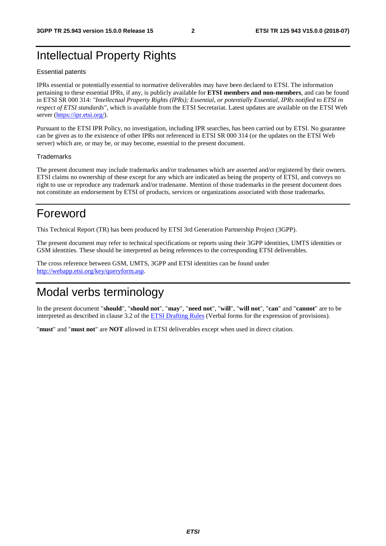### Intellectual Property Rights

#### Essential patents

IPRs essential or potentially essential to normative deliverables may have been declared to ETSI. The information pertaining to these essential IPRs, if any, is publicly available for **ETSI members and non-members**, and can be found in ETSI SR 000 314: *"Intellectual Property Rights (IPRs); Essential, or potentially Essential, IPRs notified to ETSI in respect of ETSI standards"*, which is available from the ETSI Secretariat. Latest updates are available on the ETSI Web server ([https://ipr.etsi.org/\)](https://ipr.etsi.org/).

Pursuant to the ETSI IPR Policy, no investigation, including IPR searches, has been carried out by ETSI. No guarantee can be given as to the existence of other IPRs not referenced in ETSI SR 000 314 (or the updates on the ETSI Web server) which are, or may be, or may become, essential to the present document.

#### **Trademarks**

The present document may include trademarks and/or tradenames which are asserted and/or registered by their owners. ETSI claims no ownership of these except for any which are indicated as being the property of ETSI, and conveys no right to use or reproduce any trademark and/or tradename. Mention of those trademarks in the present document does not constitute an endorsement by ETSI of products, services or organizations associated with those trademarks.

### Foreword

This Technical Report (TR) has been produced by ETSI 3rd Generation Partnership Project (3GPP).

The present document may refer to technical specifications or reports using their 3GPP identities, UMTS identities or GSM identities. These should be interpreted as being references to the corresponding ETSI deliverables.

The cross reference between GSM, UMTS, 3GPP and ETSI identities can be found under [http://webapp.etsi.org/key/queryform.asp.](http://webapp.etsi.org/key/queryform.asp)

### Modal verbs terminology

In the present document "**should**", "**should not**", "**may**", "**need not**", "**will**", "**will not**", "**can**" and "**cannot**" are to be interpreted as described in clause 3.2 of the [ETSI Drafting Rules](https://portal.etsi.org/Services/editHelp!/Howtostart/ETSIDraftingRules.aspx) (Verbal forms for the expression of provisions).

"**must**" and "**must not**" are **NOT** allowed in ETSI deliverables except when used in direct citation.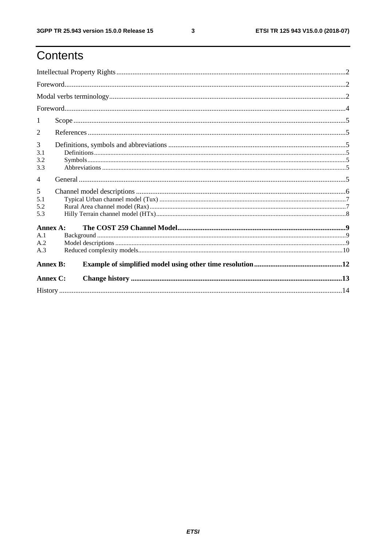### Contents

| 1                      |                 |  |  |  |  |
|------------------------|-----------------|--|--|--|--|
| 2                      |                 |  |  |  |  |
| 3<br>3.1<br>3.2<br>3.3 |                 |  |  |  |  |
| $\overline{4}$         |                 |  |  |  |  |
| 5<br>5.1<br>5.2<br>5.3 |                 |  |  |  |  |
| Annex A:               |                 |  |  |  |  |
| A.1<br>A.2<br>A.3      |                 |  |  |  |  |
|                        | <b>Annex B:</b> |  |  |  |  |
| <b>Annex C:</b>        |                 |  |  |  |  |
|                        |                 |  |  |  |  |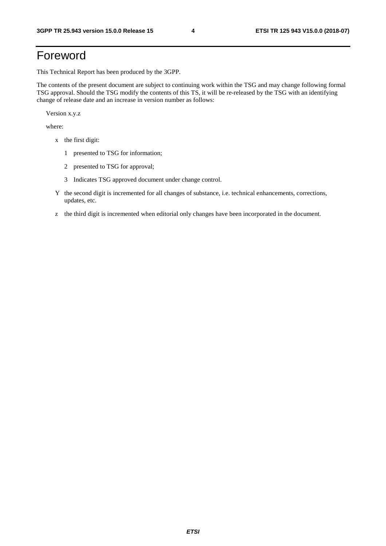### Foreword

This Technical Report has been produced by the 3GPP.

The contents of the present document are subject to continuing work within the TSG and may change following formal TSG approval. Should the TSG modify the contents of this TS, it will be re-released by the TSG with an identifying change of release date and an increase in version number as follows:

Version x.y.z

where:

- x the first digit:
	- 1 presented to TSG for information;
	- 2 presented to TSG for approval;
	- 3 Indicates TSG approved document under change control.
- Y the second digit is incremented for all changes of substance, i.e. technical enhancements, corrections, updates, etc.
- z the third digit is incremented when editorial only changes have been incorporated in the document.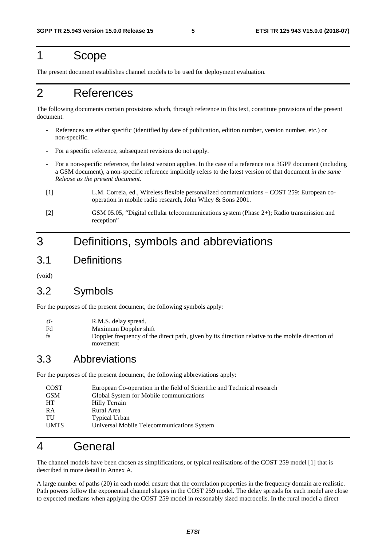### 1 Scope

The present document establishes channel models to be used for deployment evaluation.

### 2 References

The following documents contain provisions which, through reference in this text, constitute provisions of the present document.

- References are either specific (identified by date of publication, edition number, version number, etc.) or non-specific.
- For a specific reference, subsequent revisions do not apply.
- For a non-specific reference, the latest version applies. In the case of a reference to a 3GPP document (including a GSM document), a non-specific reference implicitly refers to the latest version of that document *in the same Release as the present document*.
- [1] L.M. Correia, ed., Wireless flexible personalized communications COST 259: European cooperation in mobile radio research, John Wiley & Sons 2001.
- [2] GSM 05.05, "Digital cellular telecommunications system (Phase 2+); Radio transmission and reception"

### 3 Definitions, symbols and abbreviations

3.1 Definitions

(void)

### 3.2 Symbols

For the purposes of the present document, the following symbols apply:

- $\sigma_{\tau}$  R.M.S. delay spread.
- Fd Maximum Doppler shift
- fs Doppler frequency of the direct path, given by its direction relative to the mobile direction of movement

### 3.3 Abbreviations

For the purposes of the present document, the following abbreviations apply:

| <b>COST</b> | European Co-operation in the field of Scientific and Technical research |
|-------------|-------------------------------------------------------------------------|
| <b>GSM</b>  | Global System for Mobile communications                                 |
| HT          | Hilly Terrain                                                           |
| RA          | Rural Area                                                              |
| TU          | <b>Typical Urban</b>                                                    |
| <b>UMTS</b> | Universal Mobile Telecommunications System                              |

### 4 General

The channel models have been chosen as simplifications, or typical realisations of the COST 259 model [1] that is described in more detail in Annex A.

A large number of paths (20) in each model ensure that the correlation properties in the frequency domain are realistic. Path powers follow the exponential channel shapes in the COST 259 model. The delay spreads for each model are close to expected medians when applying the COST 259 model in reasonably sized macrocells. In the rural model a direct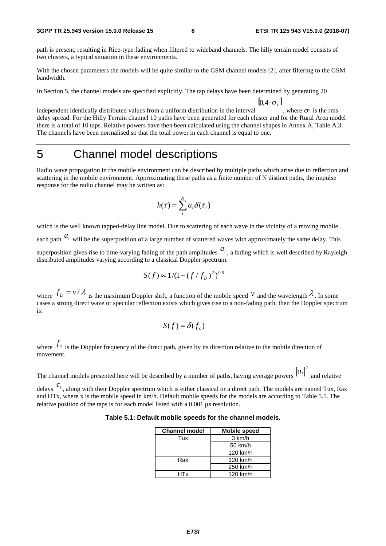path is present, resulting in Rice-type fading when filtered to wideband channels. The hilly terrain model consists of two clusters, a typical situation in these environments.

With the chosen parameters the models will be quite similar to the GSM channel models [2], after filtering to the GSM bandwidth.

In Section 5, the channel models are specified explicitly. The tap delays have been determined by generating 20

 $[ 0.4 \cdot \sigma_{\tau} ]$ 

independent identically distributed values from a uniform distribution in the interval , where  $\sigma_r$  is the rms delay spread. For the Hilly Terrain channel 10 paths have been generated for each cluster and for the Rural Area model there is a total of 10 taps. Relative powers have then been calculated using the channel shapes in Annex A, Table A.3. The channels have been normalised so that the total power in each channel is equal to one.

### 5 Channel model descriptions

Radio wave propagation in the mobile environment can be described by multiple paths which arise due to reflection and scattering in the mobile environment. Approximating these paths as a finite number of N distinct paths, the impulse response for the radio channel may be written as:

$$
h(\tau) = \sum_{i}^{N} a_{i} \delta(\tau_{i})
$$

which is the well known tapped-delay line model. Due to scattering of each wave in the vicinity of a moving mobile,

each path  $a_i$  will be the superposition of a large number of scattered waves with approximately the same delay. This

superposition gives rise to time-varying fading of the path amplitudes  $a_i$ , a fading which is well described by Rayleigh distributed amplitudes varying according to a classical Doppler spectrum:

$$
S(f) \propto 1/(1 - (f/f_D)^2)^{0.5}
$$

where  $f_D = v / \lambda$  is the maximum Doppler shift, a function of the mobile speed V and the wavelength  $\lambda$ . In some cases a strong direct wave or specular reflection exists which gives rise to a non-fading path, then the Doppler spectrum  $i_{S}$ :

$$
S(f) = \delta(f_s)
$$

where  $f_s$  is the Doppler frequency of the direct path, given by its direction relative to the mobile direction of movement.

The channel models presented here will be described by a number of paths, having average powers  $\vert v_i \vert$  and relative  $a_i^2$ 

delays  $\tau_i$ , along with their Doppler spectrum which is either classical or a direct path. The models are named Tux, Rax and HTx, where x is the mobile speed in km/h. Default mobile speeds for the models are according to Table 5.1. The relative position of the taps is for each model listed with a 0.001 μs resolution.

**Table 5.1: Default mobile speeds for the channel models.** 

| <b>Channel model</b> | <b>Mobile speed</b> |
|----------------------|---------------------|
| Tux                  | 3 km/h              |
|                      | 50 km/h             |
|                      | 120 km/h            |
| Rax                  | 120 km/h            |
|                      | 250 km/h            |
| HTx                  | 120 km/h            |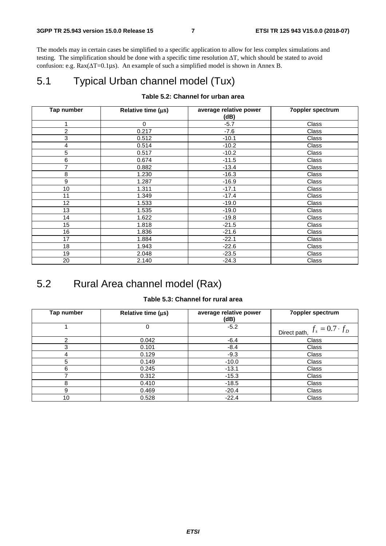The models may in certain cases be simplified to a specific application to allow for less complex simulations and testing. The simplification should be done with a specific time resolution ΔT, which should be stated to avoid confusion: e.g. Rax(ΔT=0.1μs). An example of such a simplified model is shown in Annex B.

### 5.1 Typical Urban channel model (Tux)

#### **Table 5.2: Channel for urban area**

| Tap number     | Relative time $(\mu s)$ | average relative power<br>(dB) | <b>7oppler spectrum</b> |
|----------------|-------------------------|--------------------------------|-------------------------|
| 1              | $\mathbf 0$             | $-5.7$                         | Class                   |
| $\overline{2}$ | 0.217                   | $-7.6$                         | Class                   |
| $\mathbf{3}$   | 0.512                   | $-10.1$                        | Class                   |
| 4              | 0.514                   | $-10.2$                        | Class                   |
| 5              | 0.517                   | $-10.2$                        | Class                   |
| 6              | 0.674                   | $-11.5$                        | Class                   |
| 7              | 0.882                   | $-13.4$                        | Class                   |
| 8              | 1.230                   | $-16.3$                        | Class                   |
| 9              | 1.287                   | $-16.9$                        | Class                   |
| 10             | 1.311                   | $-17.1$                        | Class                   |
| 11             | 1.349                   | $-17.4$                        | Class                   |
| 12             | 1.533                   | $-19.0$                        | Class                   |
| 13             | 1.535                   | $-19.0$                        | Class                   |
| 14             | 1.622                   | $-19.8$                        | Class                   |
| 15             | 1.818                   | $-21.5$                        | Class                   |
| 16             | 1.836                   | $-21.6$                        | Class                   |
| 17             | 1.884                   | $-22.1$                        | Class                   |
| 18             | 1.943                   | $-22.6$                        | Class                   |
| 19             | 2.048                   | $-23.5$                        | Class                   |
| 20             | 2.140                   | $-24.3$                        | Class                   |

### 5.2 Rural Area channel model (Rax)

#### **Table 5.3: Channel for rural area**

| Tap number | Relative time $(\mu s)$ | average relative power<br>(dB) | <b>7oppler spectrum</b>            |
|------------|-------------------------|--------------------------------|------------------------------------|
|            | 0                       | $-5.2$                         | Direct path, $f_s = 0.7 \cdot f_D$ |
| ⌒          | 0.042                   | $-6.4$                         | Class                              |
| 3          | 0.101                   | $-8.4$                         | Class                              |
| 4          | 0.129                   | $-9.3$                         | Class                              |
| 5          | 0.149                   | $-10.0$                        | Class                              |
| 6          | 0.245                   | $-13.1$                        | Class                              |
|            | 0.312                   | $-15.3$                        | Class                              |
| 8          | 0.410                   | $-18.5$                        | Class                              |
| 9          | 0.469                   | $-20.4$                        | Class                              |
| 10         | 0.528                   | $-22.4$                        | Class                              |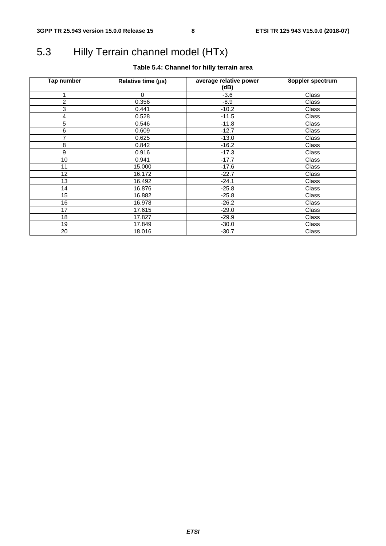### 5.3 Hilly Terrain channel model (HTx)

#### **Table 5.4: Channel for hilly terrain area**

| Tap number       | Relative time (µs) | average relative power<br>(dB) | 8oppler spectrum |
|------------------|--------------------|--------------------------------|------------------|
|                  | $\Omega$           | $-3.6$                         | Class            |
| $\overline{c}$   | 0.356              | $-8.9$                         | Class            |
| 3                | 0.441              | $-10.2$                        | Class            |
| 4                | 0.528              | $-11.5$                        | Class            |
| 5                | 0.546              | $-11.8$                        | Class            |
| 6                | 0.609              | $-12.7$                        | Class            |
| 7                | 0.625              | $-13.0$                        | Class            |
| 8                | 0.842              | $-16.2$                        | Class            |
| $\boldsymbol{9}$ | 0.916              | $-17.3$                        | Class            |
| 10               | 0.941              | $-17.7$                        | Class            |
| 11               | 15.000             | $-17.6$                        | Class            |
| 12 <sup>2</sup>  | 16.172             | $-22.7$                        | Class            |
| 13               | 16.492             | $-24.1$                        | Class            |
| 14               | 16.876             | $-25.8$                        | Class            |
| 15               | 16.882             | $-25.8$                        | Class            |
| 16               | 16.978             | $-26.2$                        | Class            |
| 17               | 17.615             | $-29.0$                        | Class            |
| 18               | 17.827             | $-29.9$                        | Class            |
| 19               | 17.849             | $-30.0$                        | Class            |
| 20               | 18.016             | $-30.7$                        | Class            |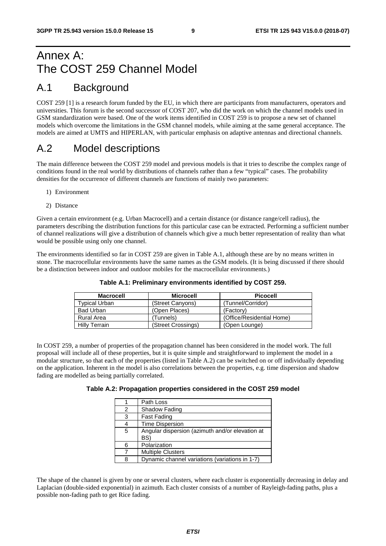### Annex A: The COST 259 Channel Model

### A.1 Background

COST 259 [1] is a research forum funded by the EU, in which there are participants from manufacturers, operators and universities. This forum is the second successor of COST 207, who did the work on which the channel models used in GSM standardization were based. One of the work items identified in COST 259 is to propose a new set of channel models which overcome the limitations in the GSM channel models, while aiming at the same general acceptance. The models are aimed at UMTS and HIPERLAN, with particular emphasis on adaptive antennas and directional channels.

### A.2 Model descriptions

The main difference between the COST 259 model and previous models is that it tries to describe the complex range of conditions found in the real world by distributions of channels rather than a few "typical" cases. The probability densities for the occurrence of different channels are functions of mainly two parameters:

- 1) Environment
- 2) Distance

Given a certain environment (e.g. Urban Macrocell) and a certain distance (or distance range/cell radius), the parameters describing the distribution functions for this particular case can be extracted. Performing a sufficient number of channel realizations will give a distribution of channels which give a much better representation of reality than what would be possible using only one channel.

The environments identified so far in COST 259 are given in Table A.1, although these are by no means written in stone. The macrocellular environments have the same names as the GSM models. (It is being discussed if there should be a distinction between indoor and outdoor mobiles for the macrocellular environments.)

| <b>Macrocell</b>     | <b>Microcell</b>   | <b>Picocell</b>           |
|----------------------|--------------------|---------------------------|
| Typical Urban        | (Street Canyons)   | (Tunnel/Corridor)         |
| <b>Bad Urban</b>     | (Open Places)      | (Factory)                 |
| Rural Area           | Tunnels)           | (Office/Residential Home) |
| <b>Hilly Terrain</b> | (Street Crossings) | (Open Lounge)             |

#### **Table A.1: Preliminary environments identified by COST 259.**

In COST 259, a number of properties of the propagation channel has been considered in the model work. The full proposal will include all of these properties, but it is quite simple and straightforward to implement the model in a modular structure, so that each of the properties (listed in Table A.2) can be switched on or off individually depending on the application. Inherent in the model is also correlations between the properties, e.g. time dispersion and shadow fading are modelled as being partially correlated.

#### **Table A.2: Propagation properties considered in the COST 259 model**

|   | Path Loss                                              |
|---|--------------------------------------------------------|
| 2 | Shadow Fading                                          |
| 3 | Fast Fading                                            |
| 4 | <b>Time Dispersion</b>                                 |
| 5 | Angular dispersion (azimuth and/or elevation at<br>BS) |
| 6 | Polarization                                           |
|   | <b>Multiple Clusters</b>                               |
| 8 | Dynamic channel variations (variations in 1-7)         |

The shape of the channel is given by one or several clusters, where each cluster is exponentially decreasing in delay and Laplacian (double-sided exponential) in azimuth. Each cluster consists of a number of Rayleigh-fading paths, plus a possible non-fading path to get Rice fading.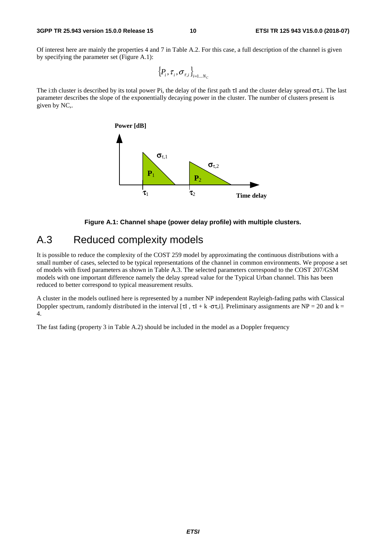#### **3GPP TR 25.943 version 15.0.0 Release 15 10 ETSI TR 125 943 V15.0.0 (2018-07)**

Of interest here are mainly the properties 4 and 7 in Table A.2. For this case, a full description of the channel is given by specifying the parameter set (Figure A.1):

$$
\left\{P_i, \tau_i, \sigma_{\tau, i}\right\}_{i=1...N_C}
$$

The i:th cluster is described by its total power Pi, the delay of the first path  $\tau I$  and the cluster delay spread  $\sigma\tau$ , The last parameter describes the slope of the exponentially decaying power in the cluster. The number of clusters present is given by NC,.





### A.3 Reduced complexity models

It is possible to reduce the complexity of the COST 259 model by approximating the continuous distributions with a small number of cases, selected to be typical representations of the channel in common environments. We propose a set of models with fixed parameters as shown in Table A.3. The selected parameters correspond to the COST 207/GSM models with one important difference namely the delay spread value for the Typical Urban channel. This has been reduced to better correspond to typical measurement results.

A cluster in the models outlined here is represented by a number NP independent Rayleigh-fading paths with Classical Doppler spectrum, randomly distributed in the interval [τI, τI + k ⋅στ,i]. Preliminary assignments are NP = 20 and k = 4.

The fast fading (property 3 in Table A.2) should be included in the model as a Doppler frequency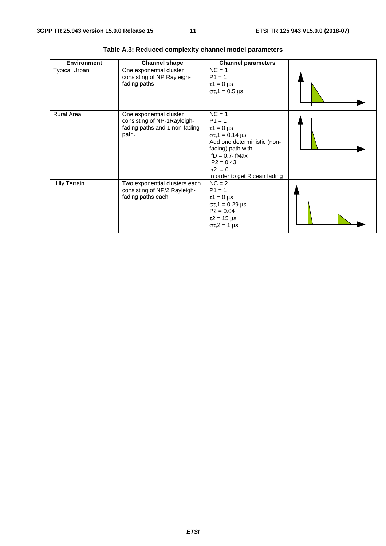| <b>Environment</b>   | <b>Channel shape</b>                                                                             | <b>Channel parameters</b>                                                                                                                                                                                      |  |
|----------------------|--------------------------------------------------------------------------------------------------|----------------------------------------------------------------------------------------------------------------------------------------------------------------------------------------------------------------|--|
| <b>Typical Urban</b> | One exponential cluster<br>consisting of NP Rayleigh-<br>fading paths                            | $NC = 1$<br>$P1 = 1$<br>$\tau$ 1 = 0 µs<br>$στ, 1 = 0.5 \mu s$                                                                                                                                                 |  |
| Rural Area           | One exponential cluster<br>consisting of NP-1Rayleigh-<br>fading paths and 1 non-fading<br>path. | $NC = 1$<br>$P1 = 1$<br>$\tau$ 1 = 0 µs<br>$\sigma \tau$ , 1 = 0.14 µs<br>Add one deterministic (non-<br>fading) path with:<br>$fD = 0.7$ fMax<br>$P2 = 0.43$<br>$\tau$ 2 = 0<br>in order to get Ricean fading |  |
| <b>Hilly Terrain</b> | Two exponential clusters each<br>consisting of NP/2 Rayleigh-<br>fading paths each               | $NC = 2$<br>$P1 = 1$<br>$\tau$ 1 = 0 µs<br>$\sigma\tau$ , 1 = 0.29 µs<br>$P2 = 0.04$<br>$\tau$ 2 = 15 µs<br>$\sigma\tau$ , 2 = 1 µs                                                                            |  |

**Table A.3: Reduced complexity channel model parameters**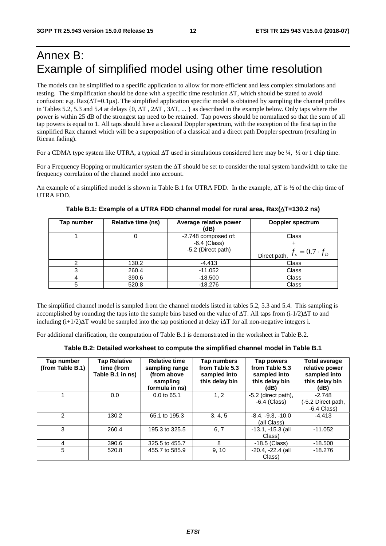### Annex B: Example of simplified model using other time resolution

The models can be simplified to a specific application to allow for more efficient and less complex simulations and testing. The simplification should be done with a specific time resolution ΔT, which should be stated to avoid confusion: e.g.  $Rax(\Delta T=0.1\mu s)$ . The simplified application specific model is obtained by sampling the channel profiles in Tables 5.2, 5.3 and 5.4 at delays {0, ΔT , 2ΔT , 3ΔT, ... } as described in the example below. Only taps where the power is within 25 dB of the strongest tap need to be retained. Tap powers should be normalized so that the sum of all tap powers is equal to 1. All taps should have a classical Doppler spectrum, with the exception of the first tap in the simplified Rax channel which will be a superposition of a classical and a direct path Doppler spectrum (resulting in Ricean fading).

For a CDMA type system like UTRA, a typical ΔT used in simulations considered here may be ¼, ½ or 1 chip time.

For a Frequency Hopping or multicarrier system the ΔT should be set to consider the total system bandwidth to take the frequency correlation of the channel model into account.

An example of a simplified model is shown in Table B.1 for UTRA FDD. In the example, ΔT is ½ of the chip time of UTRA FDD.

| Tap number | <b>Relative time (ns)</b> | Average relative power<br>(dB)                              | Doppler spectrum                      |
|------------|---------------------------|-------------------------------------------------------------|---------------------------------------|
|            |                           | -2.748 composed of:<br>$-6.4$ (Class)<br>-5.2 (Direct path) | Class                                 |
|            |                           |                                                             | $f_s = 0.7 \cdot f_D$<br>Direct path, |
|            | 130.2                     | -4.413                                                      | Class                                 |
|            | 260.4                     | $-11.052$                                                   | Class                                 |
|            | 390.6                     | $-18.500$                                                   | Class                                 |
|            | 520.8                     | $-18.276$                                                   | Class                                 |

**Table B.1: Example of a UTRA FDD channel model for rural area, Rax(**Δ**T=130.2 ns)** 

The simplified channel model is sampled from the channel models listed in tables 5.2, 5.3 and 5.4. This sampling is accomplished by rounding the taps into the sample bins based on the value of  $\Delta T$ . All taps from (i-1/2) $\Delta T$  to and including  $(i+1/2)\Delta T$  would be sampled into the tap positioned at delay i $\Delta T$  for all non-negative integers i.

For additional clarification, the computation of Table B.1 is demonstrated in the worksheet in Table B.2.

|  | Table B.2: Detailed worksheet to compute the simplified channel model in Table B.1 |
|--|------------------------------------------------------------------------------------|
|--|------------------------------------------------------------------------------------|

| Tap number<br>(from Table B.1) | <b>Tap Relative</b><br>time (from<br>Table B.1 in ns) | <b>Relative time</b><br>sampling range<br>(from above<br>sampling<br>formula in ns) | Tap numbers<br>from Table 5.3<br>sampled into<br>this delay bin | Tap powers<br>from Table 5.3<br>sampled into<br>this delay bin<br>(dB) | <b>Total average</b><br>relative power<br>sampled into<br>this delay bin<br>(dB) |
|--------------------------------|-------------------------------------------------------|-------------------------------------------------------------------------------------|-----------------------------------------------------------------|------------------------------------------------------------------------|----------------------------------------------------------------------------------|
|                                | 0.0                                                   | $0.0$ to 65.1                                                                       | 1.2                                                             | $-5.2$ (direct path),<br>$-6.4$ (Class)                                | $-2.748$<br>(-5.2 Direct path,<br>$-6.4$ Class)                                  |
| $\mathcal{P}$                  | 130.2                                                 | 65.1 to 195.3                                                                       | 3, 4, 5                                                         | $-8.4, -9.3, -10.0$<br>(all Class)                                     | $-4.413$                                                                         |
| 3                              | 260.4                                                 | 195.3 to 325.5                                                                      | 6, 7                                                            | $-13.1, -15.3$ (all<br>Class)                                          | $-11.052$                                                                        |
| 4                              | 390.6                                                 | 325.5 to 455.7                                                                      | 8                                                               | $-18.5$ (Class)                                                        | $-18.500$                                                                        |
| 5                              | 520.8                                                 | 455.7 to 585.9                                                                      | 9, 10                                                           | $-20.4, -22.4$ (all<br>Class)                                          | $-18.276$                                                                        |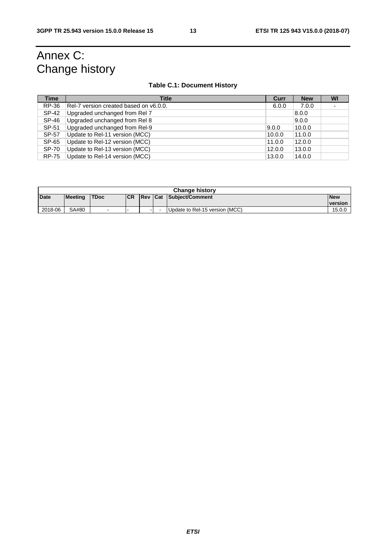### Annex C: Change history

#### **Table C.1: Document History**

| <b>Time</b>  | <b>Title</b>                           | Curr   | <b>New</b> | WI |
|--------------|----------------------------------------|--------|------------|----|
| RP-36        | Rel-7 version created based on y6.0.0. | 6.0.0  | 7.0.0      |    |
| SP-42        | Upgraded unchanged from Rel 7          |        | 8.0.0      |    |
| SP-46        | Upgraded unchanged from Rel 8          |        | 9.0.0      |    |
| SP-51        | Upgraded unchanged from Rel-9          | 9.0.0  | 10.0.0     |    |
| SP-57        | Update to Rel-11 version (MCC)         | 10.0.0 | 11.0.0     |    |
| SP-65        | Update to Rel-12 version (MCC)         | 11.0.0 | 12.0.0     |    |
| <b>SP-70</b> | Update to Rel-13 version (MCC)         | 12.0.0 | 13.0.0     |    |
| <b>RP-75</b> | Update to Rel-14 version (MCC)         | 13.0.0 | 14.0.0     |    |

| <b>Change history</b> |                |              |            |                |  |                                |                              |  |  |  |
|-----------------------|----------------|--------------|------------|----------------|--|--------------------------------|------------------------------|--|--|--|
| Date                  | <b>Meeting</b> | <b>ITDoc</b> | <b>ICR</b> | <b>Rev Cat</b> |  | Subject/Comment                | <b>New</b><br><b>version</b> |  |  |  |
| 2018-06               | SA#80          | $\sim$       | -          | . .            |  | Update to Rel-15 version (MCC) | 15.0.0                       |  |  |  |